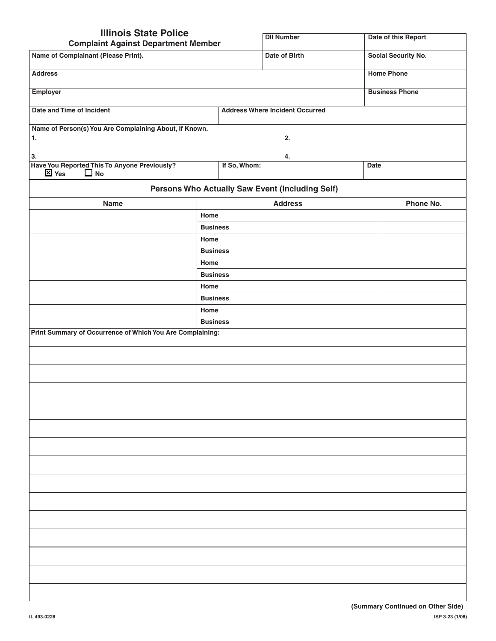| <b>Illinois State Police</b>                                              |                 |                                                 |      |                       |  |
|---------------------------------------------------------------------------|-----------------|-------------------------------------------------|------|-----------------------|--|
| <b>Complaint Against Department Member</b>                                |                 | <b>DII Number</b>                               |      | Date of this Report   |  |
| Name of Complainant (Please Print).                                       |                 | Date of Birth                                   |      | Social Security No.   |  |
| <b>Address</b>                                                            |                 |                                                 |      | <b>Home Phone</b>     |  |
| <b>Employer</b>                                                           |                 |                                                 |      | <b>Business Phone</b> |  |
| Date and Time of Incident                                                 |                 | <b>Address Where Incident Occurred</b>          |      |                       |  |
| Name of Person(s) You Are Complaining About, If Known.<br>1.              |                 | 2.                                              |      |                       |  |
| 3.                                                                        |                 | 4.                                              |      |                       |  |
| Have You Reported This To Anyone Previously?<br>$\boxtimes$ Yes $\Box$ No | If So, Whom:    |                                                 | Date |                       |  |
|                                                                           |                 | Persons Who Actually Saw Event (Including Self) |      |                       |  |
| <b>Name</b>                                                               |                 | <b>Address</b>                                  |      | Phone No.             |  |
| Home                                                                      |                 |                                                 |      |                       |  |
|                                                                           | <b>Business</b> |                                                 |      |                       |  |
| Home                                                                      |                 |                                                 |      |                       |  |
|                                                                           | <b>Business</b> |                                                 |      |                       |  |
| Home                                                                      |                 |                                                 |      |                       |  |
|                                                                           | <b>Business</b> |                                                 |      |                       |  |
| Home                                                                      |                 |                                                 |      |                       |  |
|                                                                           | <b>Business</b> |                                                 |      |                       |  |
| Home                                                                      |                 |                                                 |      |                       |  |
|                                                                           | <b>Business</b> |                                                 |      |                       |  |
| Print Summary of Occurrence of Which You Are Complaining:                 |                 |                                                 |      |                       |  |
|                                                                           |                 |                                                 |      |                       |  |
|                                                                           |                 |                                                 |      |                       |  |
|                                                                           |                 |                                                 |      |                       |  |
|                                                                           |                 |                                                 |      |                       |  |
|                                                                           |                 |                                                 |      |                       |  |
|                                                                           |                 |                                                 |      |                       |  |
|                                                                           |                 |                                                 |      |                       |  |
|                                                                           |                 |                                                 |      |                       |  |
|                                                                           |                 |                                                 |      |                       |  |
|                                                                           |                 |                                                 |      |                       |  |
|                                                                           |                 |                                                 |      |                       |  |
|                                                                           |                 |                                                 |      |                       |  |
|                                                                           |                 |                                                 |      |                       |  |
|                                                                           |                 |                                                 |      |                       |  |